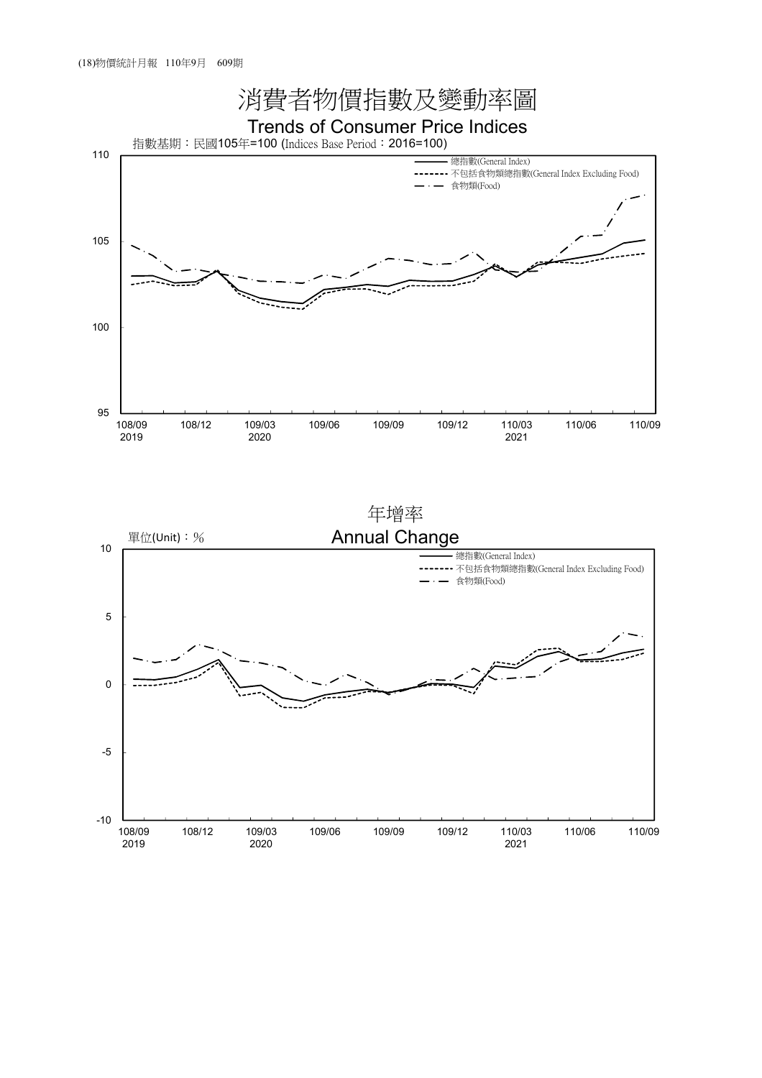

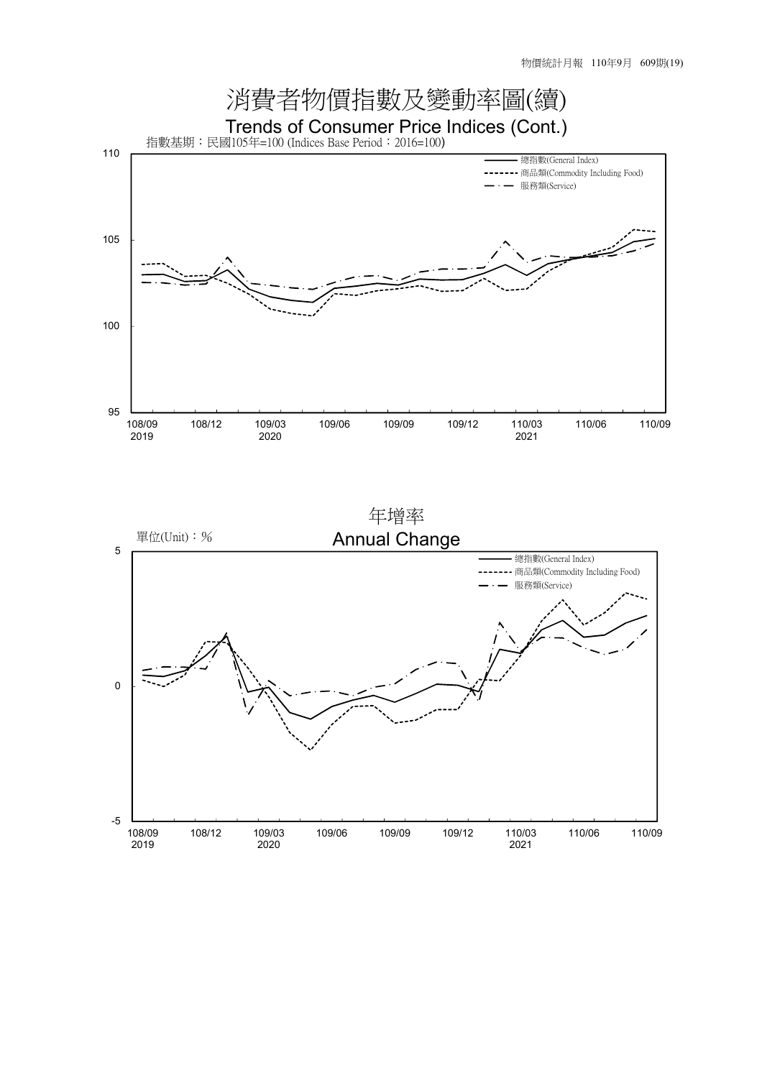